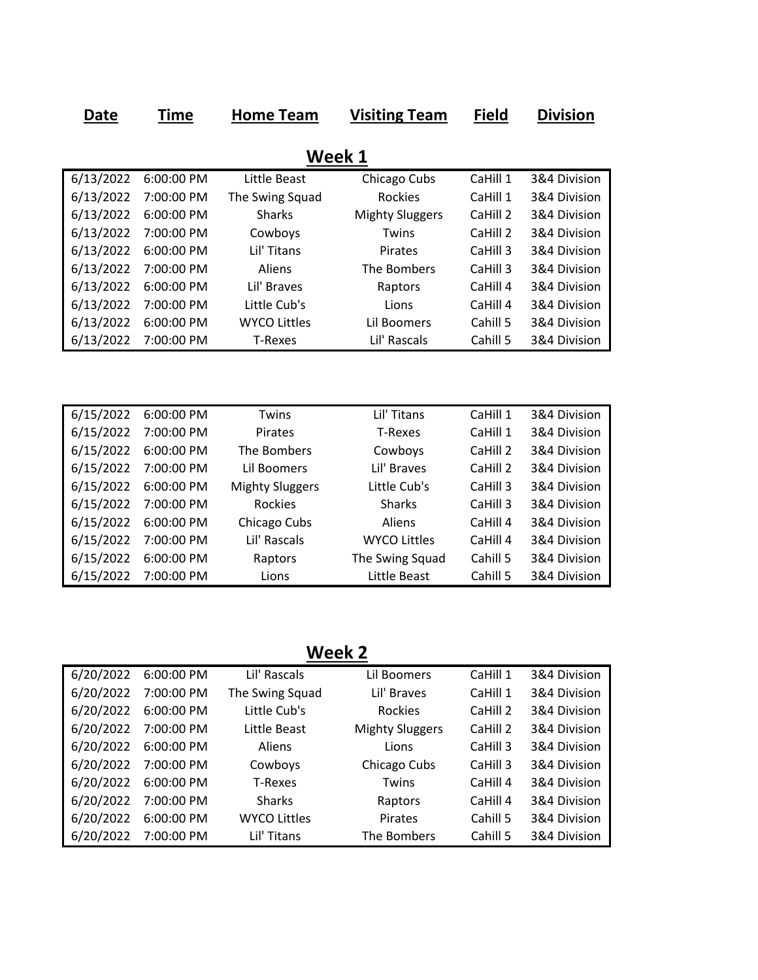| Date      | Time       | Home Team              | <b>Visiting Team</b>   | <b>Field</b> | <b>Division</b> |
|-----------|------------|------------------------|------------------------|--------------|-----------------|
|           |            |                        | Week 1                 |              |                 |
|           |            |                        |                        |              |                 |
| 6/13/2022 | 6:00:00 PM | Little Beast           | Chicago Cubs           | CaHill 1     | 3&4 Division    |
| 6/13/2022 | 7:00:00 PM | The Swing Squad        | <b>Rockies</b>         | CaHill 1     | 3&4 Division    |
| 6/13/2022 | 6:00:00 PM | <b>Sharks</b>          | <b>Mighty Sluggers</b> | CaHill 2     | 3&4 Division    |
| 6/13/2022 | 7:00:00 PM | Cowboys                | Twins                  | CaHill 2     | 3&4 Division    |
| 6/13/2022 | 6:00:00 PM | Lil' Titans            | Pirates                | CaHill 3     | 3&4 Division    |
| 6/13/2022 | 7:00:00 PM | Aliens                 | The Bombers            | CaHill 3     | 3&4 Division    |
| 6/13/2022 | 6:00:00 PM | Lil' Braves            | Raptors                | CaHill 4     | 3&4 Division    |
| 6/13/2022 | 7:00:00 PM | Little Cub's           | Lions                  | CaHill 4     | 3&4 Division    |
| 6/13/2022 | 6:00:00 PM | <b>WYCO Littles</b>    | Lil Boomers            | Cahill 5     | 3&4 Division    |
| 6/13/2022 | 7:00:00 PM | <b>T-Rexes</b>         | Lil' Rascals           | Cahill 5     | 3&4 Division    |
|           |            |                        |                        |              |                 |
|           |            |                        |                        |              |                 |
|           |            |                        |                        |              |                 |
| 6/15/2022 | 6:00:00 PM | Twins                  | Lil' Titans            | CaHill 1     | 3&4 Division    |
| 6/15/2022 | 7:00:00 PM | <b>Pirates</b>         | <b>T-Rexes</b>         | CaHill 1     | 3&4 Division    |
| 6/15/2022 | 6:00:00 PM | The Bombers            | Cowboys                | CaHill 2     | 3&4 Division    |
| 6/15/2022 | 7:00:00 PM | Lil Boomers            | Lil' Braves            | CaHill 2     | 3&4 Division    |
| 6/15/2022 | 6:00:00 PM | <b>Mighty Sluggers</b> | Little Cub's           | CaHill 3     | 3&4 Division    |
| 6/15/2022 | 7:00:00 PM | <b>Rockies</b>         | <b>Sharks</b>          | CaHill 3     | 3&4 Division    |
| 6/15/2022 | 6:00:00 PM | Chicago Cubs           | Aliens                 | CaHill 4     | 3&4 Division    |
| 6/15/2022 | 7:00:00 PM | Lil' Rascals           | <b>WYCO Littles</b>    | CaHill 4     | 3&4 Division    |
| 6/15/2022 | 6:00:00 PM | Raptors                | The Swing Squad        | Cahill 5     | 3&4 Division    |
| 6/15/2022 | 7:00:00 PM | Lions                  | Little Beast           | Cahill 5     | 3&4 Division    |

**Week 2**

| 6/20/2022 | 6:00:00 PM | Lil' Rascals        | Lil Boomers            | CaHill 1 | 3&4 Division |
|-----------|------------|---------------------|------------------------|----------|--------------|
| 6/20/2022 | 7:00:00 PM | The Swing Squad     | Lil' Braves            | CaHill 1 | 3&4 Division |
| 6/20/2022 | 6:00:00 PM | Little Cub's        | Rockies                | CaHill 2 | 3&4 Division |
| 6/20/2022 | 7:00:00 PM | Little Beast        | <b>Mighty Sluggers</b> | CaHill 2 | 3&4 Division |
| 6/20/2022 | 6:00:00 PM | Aliens              | Lions                  | CaHill 3 | 3&4 Division |
| 6/20/2022 | 7:00:00 PM | Cowboys             | Chicago Cubs           | CaHill 3 | 3&4 Division |
| 6/20/2022 | 6:00:00 PM | T-Rexes             | Twins                  | CaHill 4 | 3&4 Division |
| 6/20/2022 | 7:00:00 PM | <b>Sharks</b>       | Raptors                | CaHill 4 | 3&4 Division |
| 6/20/2022 | 6:00:00 PM | <b>WYCO Littles</b> | <b>Pirates</b>         | Cahill 5 | 3&4 Division |
| 6/20/2022 | 7:00:00 PM | Lil' Titans         | The Bombers            | Cahill 5 | 3&4 Division |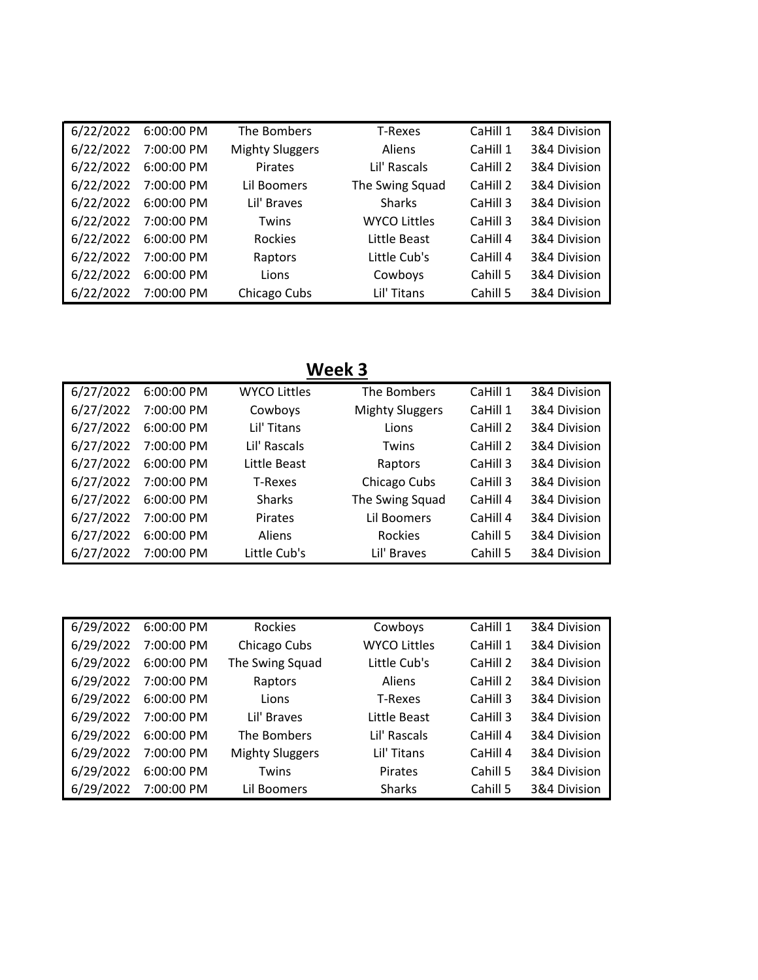| 6/22/2022 | 6:00:00 PM | The Bombers            | T-Rexes             | CaHill 1 | 3&4 Division |
|-----------|------------|------------------------|---------------------|----------|--------------|
| 6/22/2022 | 7:00:00 PM | <b>Mighty Sluggers</b> | Aliens              | CaHill 1 | 3&4 Division |
| 6/22/2022 | 6:00:00 PM | <b>Pirates</b>         | Lil' Rascals        | CaHill 2 | 3&4 Division |
| 6/22/2022 | 7:00:00 PM | Lil Boomers            | The Swing Squad     | CaHill 2 | 3&4 Division |
| 6/22/2022 | 6:00:00 PM | Lil' Braves            | <b>Sharks</b>       | CaHill 3 | 3&4 Division |
| 6/22/2022 | 7:00:00 PM | Twins                  | <b>WYCO Littles</b> | CaHill 3 | 3&4 Division |
| 6/22/2022 | 6:00:00 PM | <b>Rockies</b>         | Little Beast        | CaHill 4 | 3&4 Division |
| 6/22/2022 | 7:00:00 PM | Raptors                | Little Cub's        | CaHill 4 | 3&4 Division |
| 6/22/2022 | 6:00:00 PM | Lions                  | Cowboys             | Cahill 5 | 3&4 Division |
| 6/22/2022 | 7:00:00 PM | Chicago Cubs           | Lil' Titans         | Cahill 5 | 3&4 Division |

## **Week 3**

| 6/27/2022 | 6:00:00 PM | <b>WYCO Littles</b> | The Bombers            | CaHill 1 | 3&4 Division |
|-----------|------------|---------------------|------------------------|----------|--------------|
| 6/27/2022 | 7:00:00 PM | Cowboys             | <b>Mighty Sluggers</b> | CaHill 1 | 3&4 Division |
| 6/27/2022 | 6:00:00 PM | Lil' Titans         | Lions                  | CaHill 2 | 3&4 Division |
| 6/27/2022 | 7:00:00 PM | Lil' Rascals        | <b>Twins</b>           | CaHill 2 | 3&4 Division |
| 6/27/2022 | 6:00:00 PM | Little Beast        | Raptors                | CaHill 3 | 3&4 Division |
| 6/27/2022 | 7:00:00 PM | T-Rexes             | Chicago Cubs           | CaHill 3 | 3&4 Division |
| 6/27/2022 | 6:00:00 PM | <b>Sharks</b>       | The Swing Squad        | CaHill 4 | 3&4 Division |
| 6/27/2022 | 7:00:00 PM | <b>Pirates</b>      | Lil Boomers            | CaHill 4 | 3&4 Division |
| 6/27/2022 | 6:00:00 PM | <b>Aliens</b>       | Rockies                | Cahill 5 | 3&4 Division |
| 6/27/2022 | 7:00:00 PM | Little Cub's        | Lil' Braves            | Cahill 5 | 3&4 Division |

| 6/29/2022 | 6:00:00 PM | Rockies                | Cowboys             | CaHill 1 | 3&4 Division |
|-----------|------------|------------------------|---------------------|----------|--------------|
| 6/29/2022 | 7:00:00 PM | Chicago Cubs           | <b>WYCO Littles</b> | CaHill 1 | 3&4 Division |
| 6/29/2022 | 6:00:00 PM | The Swing Squad        | Little Cub's        | CaHill 2 | 3&4 Division |
| 6/29/2022 | 7:00:00 PM | Raptors                | Aliens              | CaHill 2 | 3&4 Division |
| 6/29/2022 | 6:00:00 PM | Lions                  | T-Rexes             | CaHill 3 | 3&4 Division |
| 6/29/2022 | 7:00:00 PM | Lil' Braves            | Little Beast        | CaHill 3 | 3&4 Division |
| 6/29/2022 | 6:00:00 PM | The Bombers            | Lil' Rascals        | CaHill 4 | 3&4 Division |
| 6/29/2022 | 7:00:00 PM | <b>Mighty Sluggers</b> | Lil' Titans         | CaHill 4 | 3&4 Division |
| 6/29/2022 | 6:00:00 PM | Twins                  | <b>Pirates</b>      | Cahill 5 | 3&4 Division |
| 6/29/2022 | 7:00:00 PM | Lil Boomers            | <b>Sharks</b>       | Cahill 5 | 3&4 Division |